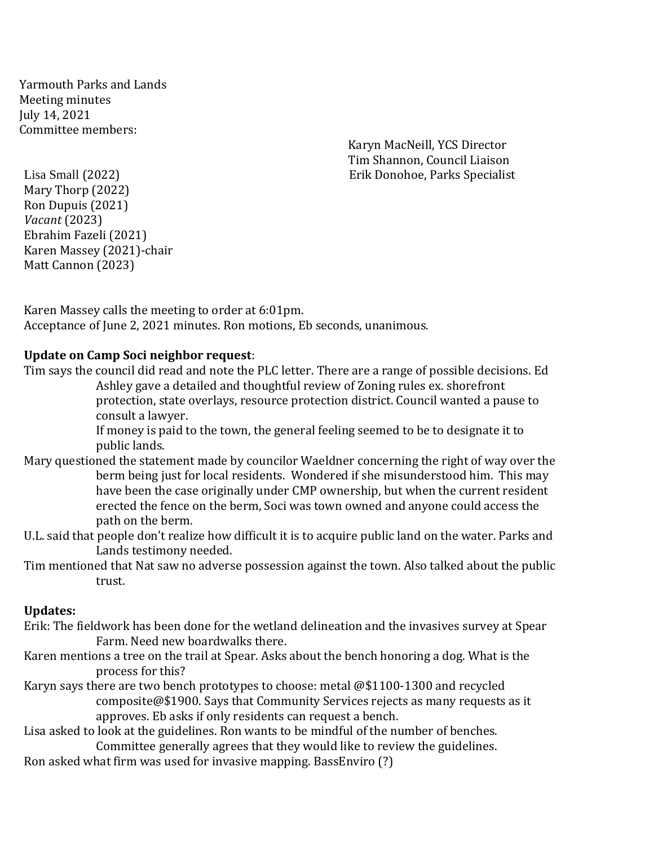Yarmouth Parks and Lands Meeting minutes July 14, 2021 Committee members:

Karyn MacNeill, YCS Director Tim Shannon, Council Liaison Lisa Small (2022) Erik Donohoe, Parks Specialist

Mary Thorp (2022) Ron Dupuis (2021) *Vacant* (2023) Ebrahim Fazeli (2021) Karen Massey (2021)-chair Matt Cannon (2023)

Karen Massey calls the meeting to order at 6:01pm. Acceptance of June 2, 2021 minutes. Ron motions, Eb seconds, unanimous.

#### **Update on Camp Soci neighbor request**:

Tim says the council did read and note the PLC letter. There are a range of possible decisions. Ed Ashley gave a detailed and thoughtful review of Zoning rules ex. shorefront protection, state overlays, resource protection district. Council wanted a pause to consult a lawyer.

If money is paid to the town, the general feeling seemed to be to designate it to public lands.

- Mary questioned the statement made by councilor Waeldner concerning the right of way over the berm being just for local residents. Wondered if she misunderstood him. This may have been the case originally under CMP ownership, but when the current resident erected the fence on the berm, Soci was town owned and anyone could access the path on the berm.
- U.L. said that people don't realize how difficult it is to acquire public land on the water. Parks and Lands testimony needed.
- Tim mentioned that Nat saw no adverse possession against the town. Also talked about the public trust.

#### **Updates:**

- Erik: The fieldwork has been done for the wetland delineation and the invasives survey at Spear Farm. Need new boardwalks there.
- Karen mentions a tree on the trail at Spear. Asks about the bench honoring a dog. What is the process for this?
- Karyn says there are two bench prototypes to choose: metal @\$1100-1300 and recycled composite@\$1900. Says that Community Services rejects as many requests as it approves. Eb asks if only residents can request a bench.

Lisa asked to look at the guidelines. Ron wants to be mindful of the number of benches.

Committee generally agrees that they would like to review the guidelines. Ron asked what firm was used for invasive mapping. BassEnviro (?)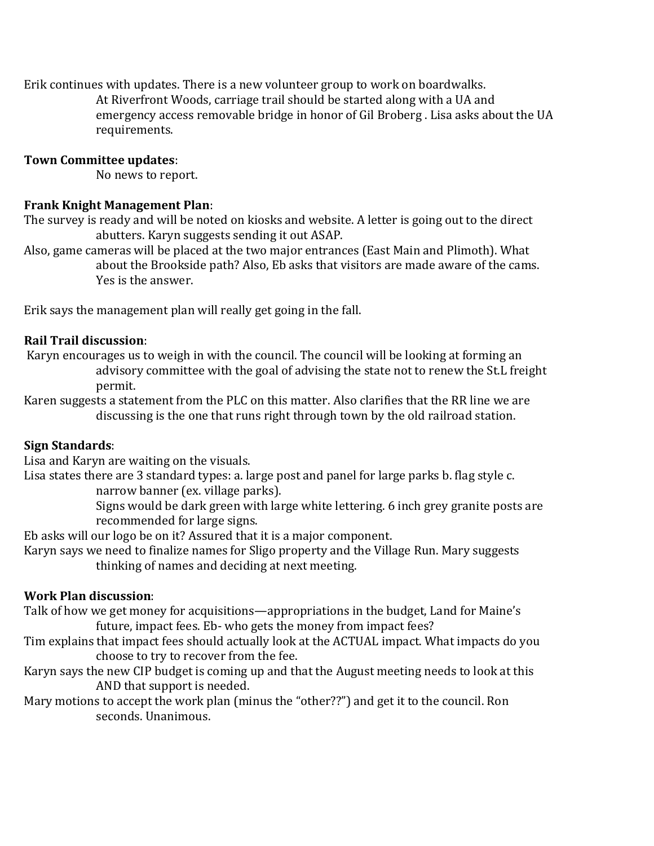Erik continues with updates. There is a new volunteer group to work on boardwalks.

At Riverfront Woods, carriage trail should be started along with a UA and emergency access removable bridge in honor of Gil Broberg . Lisa asks about the UA requirements.

#### **Town Committee updates**:

No news to report.

# **Frank Knight Management Plan**:

The survey is ready and will be noted on kiosks and website. A letter is going out to the direct abutters. Karyn suggests sending it out ASAP.

Also, game cameras will be placed at the two major entrances (East Main and Plimoth). What about the Brookside path? Also, Eb asks that visitors are made aware of the cams. Yes is the answer.

Erik says the management plan will really get going in the fall.

# **Rail Trail discussion**:

Karyn encourages us to weigh in with the council. The council will be looking at forming an advisory committee with the goal of advising the state not to renew the St.L freight permit.

Karen suggests a statement from the PLC on this matter. Also clarifies that the RR line we are discussing is the one that runs right through town by the old railroad station.

# **Sign Standards**:

Lisa and Karyn are waiting on the visuals.

Lisa states there are 3 standard types: a. large post and panel for large parks b. flag style c.

narrow banner (ex. village parks).

Signs would be dark green with large white lettering. 6 inch grey granite posts are recommended for large signs.

Eb asks will our logo be on it? Assured that it is a major component.

Karyn says we need to finalize names for Sligo property and the Village Run. Mary suggests thinking of names and deciding at next meeting.

# **Work Plan discussion**:

Talk of how we get money for acquisitions—appropriations in the budget, Land for Maine's future, impact fees. Eb- who gets the money from impact fees?

- Tim explains that impact fees should actually look at the ACTUAL impact. What impacts do you choose to try to recover from the fee.
- Karyn says the new CIP budget is coming up and that the August meeting needs to look at this AND that support is needed.
- Mary motions to accept the work plan (minus the "other??") and get it to the council. Ron seconds. Unanimous.